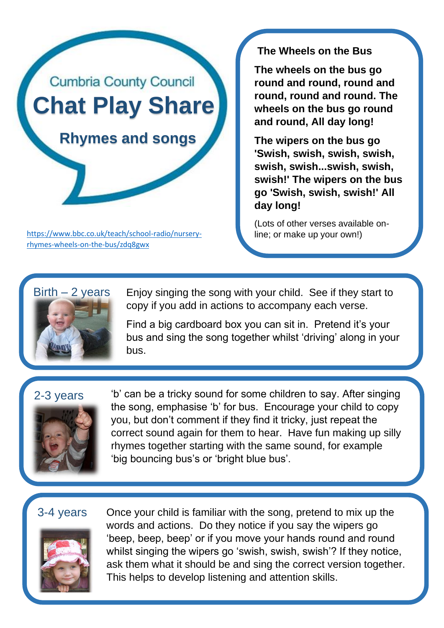

[https://www.bbc.co.uk/teach/school-radio/nursery-](https://www.bbc.co.uk/teach/school-radio/nursery-rhymes-wheels-on-the-bus/zdq8gwx) line; or make up your own!) [rhymes-wheels-on-the-bus/zdq8gwx](https://www.bbc.co.uk/teach/school-radio/nursery-rhymes-wheels-on-the-bus/zdq8gwx)

**The Wheels on the Bus**

**The wheels on the bus go round and round, round and round, round and round. The wheels on the bus go round and round, All day long!**

**The wipers on the bus go 'Swish, swish, swish, swish, swish, swish...swish, swish, swish!' The wipers on the bus go 'Swish, swish, swish!' All day long!**

(Lots of other verses available on-



Enjoy singing the song with your child. See if they start to copy if you add in actions to accompany each verse.

Find a big cardboard box you can sit in. Pretend it's your bus and sing the song together whilst 'driving' along in your bus.

## 2-3 years



'b' can be a tricky sound for some children to say. After singing the song, emphasise 'b' for bus. Encourage your child to copy you, but don't comment if they find it tricky, just repeat the correct sound again for them to hear. Have fun making up silly rhymes together starting with the same sound, for example 'big bouncing bus's or 'bright blue bus'.

## 3-4 years



Once your child is familiar with the song, pretend to mix up the words and actions. Do they notice if you say the wipers go 'beep, beep, beep' or if you move your hands round and round whilst singing the wipers go 'swish, swish, swish'? If they notice, ask them what it should be and sing the correct version together. This helps to develop listening and attention skills.